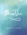

# RESOURCE PACKET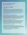### Organizations and Websites

### **[KayWarren.com](http://kaywarren.com)**

As a mom of a child with mental illness, Kay often felt overwhelmed by the lack of mental health resources and the time it took to find reputable information. Her website is created to be a place where people can come and easily access trustworthy and helpful material without having to spend hours searching the Internet. Please visit the specific mental health pages on her website: [ADHD](http://kaywarren.com/adhd/), [Anxiety,](http://kaywarren.com/anxietydisorder/) [Bipolar Disorder](http://kaywarren.com/bipolardisorder/), [Borderline](http://kaywarren.com/borderlinepersonalitydisorder/)  [Personality Disorder](http://kaywarren.com/borderlinepersonalitydisorder/), [Depression,](http://kaywarren.com/depression/) [Eating Disorders](http://kaywarren.com/eatingdisorder/), [Grief](http://kaywarren.com/grief/), [Obsessive Compulsive](http://kaywarren.com/ocd/)  [Disorder](http://kaywarren.com/ocd/), [Schizophrenia](http://kaywarren.com/schizophrenia/), [Students](http://kaywarren.com/studentmentalhealth/), [Substance Misuse Disorder](http://kaywarren.com/substancemisusedisorder/), [Suicide](http://kaywarren.com/suicide/), [Support for](http://kaywarren.com/familyandfriends/)  [Families and Friends](http://kaywarren.com/familyandfriends/), [Trauma.](http://kaywarren.com/trauma/)

### **[Mental Health Resource Guide for Individuals and Families](http://15e50d5042f8867cff88-3b1d37bbed62ab73fc28b350df0f1686.r26.cf2.rackcdn.com/uploaded/2/0e11650827_1614231440_2021hopemhresourceguidedigitalversion.pdf)**

The Mental Health Resource Guide for Individuals and Families is provided free of charge. It includes basic education about common mental illnesses, answers to frequently asked questions, and helpful information for families on how to support their loved ones with mental illness. It is designed to serve as a simplified reference guide and should not be utilized as a diagnostic tool. Click [HERE](http://15e50d5042f8867cff88-3b1d37bbed62ab73fc28b350df0f1686.r26.cf2.rackcdn.com/uploaded/2/0e11650827_1614231440_2021hopemhresourceguidedigitalversion.pdf) to download the Resource Guide.

### **[Saddleback Church's Hope for Mental Health Community](http://kaywarren.com/Community/)**

The Hope for Mental Health Community is a safe place for anyone with or affected by mental illness. These online gatherings are a time to connect with others who have mental health challenges, learn from professionals in the fields of psychology, theology, and wellness, and gain spiritual strength from God and each other. Please join us at [Facebook.com/KayWarrensPage](https://www.facebook.com/KayWarrensPage/). You can view previous Hope for Mental Health Community events at [KayWarren.com/Community.](http://kaywarren.com/Community/)

### **[How to Navigate a Mental Health Crisis Seminar](http://kaywarren.com/sermon/how-to-navigate-a-mental-health-crisis/)**

This recorded seminar, hosted by the Saddleback Church Hope for Mental Health Ministry, will give you the tools to recognize the precipitating events leading up to a crisis, what you need to know to help yourself or your loved one through the crisis, how to follow up afterwards, as well as ways to connect with on-going support.

- Click [HERE](http://15e50d5042f8867cff88-3b1d37bbed62ab73fc28b350df0f1686.r26.cf2.rackcdn.com/uploaded/n/0e8721602_1556982496_navigating-a-mental-health-crisis-powerpoint.pdf?fbclid=IwAR1RPYxE-5Pd1_KjXfh-s-RUNMmXh7arhRiRZ7mLVt_ktJxeVQVEoJPhBNg) to follow along with the PowerPoint presentation.
- Download the handouts [HERE](http://15e50d5042f8867cff88-3b1d37bbed62ab73fc28b350df0f1686.r26.cf2.rackcdn.com/uploaded/n/0e8721606_1556983490_navigating-a-mental-health-crisis-packet.pdf?fbclid=IwAR3jmsN6oalfaxH0dUHGbvNFkRotYDceEZVmLyFlSP52ZqsnWPmUp9r3qMs).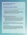### Organizations and Websites continued

**[Crisis Text Line](https://www.crisistextline.org)** | Text HOME to 741741 to connect with a trained Crisis Counselor.

**[National Suicide Prevention Lifeline](https://suicidepreventionlifeline.org) | 1-800-273-TALK (8255)**

The National Suicide Prevention Lifeline is a national network of local crisis centers that provides free and confidential emotional support to people in suicidal crisis or emotional distress 24 hours a day, 7 days a week. Call 1-800-273-8255, en Español 1-888-628-9454, or visit their website to connect via online chat.

### **[2-1-1](https://www.211.org)**

Provides free and confidential information and referral for mental health services, help with food, housing, employment, counseling, and more.

• Crisis Assessment Team (CAT) - A Crisis Assessment Team provides 24/7 mobile response services for clients of all ages who are experiencing a mental health crisis or suicide risk. Team clinicians are often the first point of contact between the client and the county mental health system. The teams assist law enforcement, paramedics, social services agencies, and families by providing mental health crisis assessment services. Call 2-1-1 to see if your county offers this service.

### **[Celebrate Recovery: A Christ-Centered 12 Step Program](https://www.celebraterecovery.com)**

A Christ-centered, 12 step recovery program for anyone struggling with hurt, pain or addiction of any kind. Groups are available throughout the nation, internationally, online, and in many prisons.

### **[CHOC Mental Health Toolkit](https://www.choc.org/mental-health/mental-health-toolkit/)**

The Children's Hospital of Orange County (CHOC) created a Mental Health Toolkit that includes free resources on mental health topics common to kids and teens, such as depression, anxiety, suicide prevention, trauma, bullying, eating disorders, attention deficit/hyperactivity disorder (ADHD) and post-traumatic stress disorder (PTSD). Many resources are available in English, Spanish, and Vietnamese.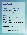### Organizations and Websites continued

### **[Compassion in Action: A Guide for Faith Communities, Serving People with Mental](https://www.hhs.gov/sites/default/files/compassion-in-action.pdf)  [Illness and their Care Givers](https://www.hhs.gov/sites/default/files/compassion-in-action.pdf)**

The U.S. Department of Health and Human Services created a guide with seven key principles to help faith leaders address mental illness in their communities.

### **[Fresh Hope for Mental Health](https://www.freshhope.us)**

Fresh Hope provides a safe place online and in-person for anyone who feels hopeless to process their pain and experience faith-filled hope modeled, shared, and given in support groups, classes, coaching, and resources that are led and written by peers.

#### **[Grace Alliance](https://mentalhealthgracealliance.org)**

The Grace Alliance is a Christian-based organization that provides online and in-person support groups for individuals, parents, and loved ones. Their support groups combine neuroscience and faith with the hope of building mental and emotional health resiliency.

### **[National Alliance on Mental Illness \(NAMI\)](https://www.nami.org/Home)**

NAMI is the nation's largest grassroots mental health organization which provides education classes, support groups, and resources for individuals and families.

#### **[NumberStory.org](https://numberstory.org)**

Exists to build awareness of Adverse Childhood Experiences (ACEs) and to help people and communities prevent and address the effects of ACEs and childhood toxic stress. This website helps you learn about your ACEs score.

### **[Protecting Youth Mental Health: The U.S. Surgeon General's Advisory](https://www.hhs.gov/sites/default/files/surgeon-general-youth-mental-health-advisory.pdf)**

The U.S. Surgeon General's advisory calls the nation to immediate awareness and action for this significant public health challange.

> **For additional recommended books, organizations, and resources please visit [KayWarren.com/MentalHealth.](http://kaywarren.com/MentalHealth/)**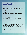## Books

*The Bipolar Disorder Survival Guide, Third Edition: What You and Your Family Need to Know* by David J. Miklowitz, PhD

*Boundaries: When to Say Yes, How to Say No to Take Control of Your Life* by Henry Cloud, PhD and John Townsend, PhD

*Codependent No More: How to Stop Controlling Others and Start Caring for Yourself* by Melody Beattie

*Finding Jesus in the Storm: The Spiritual Lives of Christians with Mental Health Challenges* by John Swinton

*Finding Quiet: My Story of Overcoming Anxiety and the Practices that Brought Peace* by J.P. Moreland, PhD

*Grace for the Afflicted: A Clinical and Biblical Perspective on Mental Illness* by Matthew S. Stanford, PhD

*Grace for the Children: Finding Hope in the Midst of Child and Adolescent Mental Illness* by Matthew S. Stanford, PhD

*How We Love Our Kids: The Five Love Styles of Parenting* by Milan Yerkovich, MA & Kay Yerkovich, MS, LMFT

*I Am Not Sick, I Don't Need Help! How to Help Someone Accept Treatment* by Xavier Amador, PhD

*I Love Jesus, But I Want to Die: Finding Hope in the Darkness of Depression* by Sarah J. Robinson

*A New Kind of Normal: Hope-Filled Choices When Life Turns Upside Down* by Carol Kent

*Redeeming Heartache: How Past Suffering Reveals Our True Calling* by Dan B. Allender, PhD

*Rules of Estrangement: Why Adult Children Cut Ties and How to Heal the Conflict* by Joshua Coleman, PhD

*Surviving Schizophrenia: A Family Manual* by E. Fuller Torrey, MD

*Talking to Depression: Simple Ways to Connect When Someone in Your Life is Depressed* by Claudia J. Strauss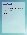## Books continued

*Talking to Eating Disorders: Simple Ways to Support Someone Who Has Anorexia, Bulimia, or Other Eating Disorders* by Jeanne Albronda Heaton, PhD and Claudia J. Strauss

*What Happened To You? Conversations on Trauma, Resilience, and Healing* by Bruce D. Perry, MD, PhD & Oprah Winfrey

*When I Lay My Isaac Down: Unshakable Faith in Unthinkable Circumstances* by Carol Kent

*When Someone You Love Has a Mental Illness: A Handbook for Family, Friends, and Caregivers* by Rebecca Woolis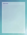| NOTES |
|-------|
|       |
|       |
|       |
|       |
|       |
|       |
|       |
|       |
|       |
|       |
|       |
|       |
|       |
|       |
|       |
|       |
|       |
|       |
|       |
|       |
|       |
|       |
|       |